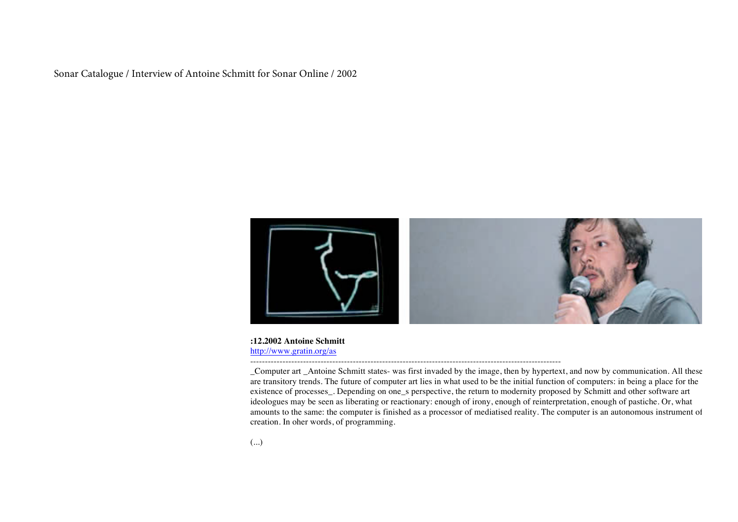Sonar Catalogue / Interview of Antoine Schmitt for Sonar Online / 2002



### **:12.2002 Antoine Schmitt** http://www.gratin.org/as

\_Computer art \_Antoine Schmitt states- was first invaded by the image, then by hypertext, and now by communication. All these are transitory trends. The future of computer art lies in what used to be the initial function of computers: in being a place for the existence of processes\_. Depending on one\_s perspective, the return to modernity proposed by Schmitt and other software art ideologues may be seen as liberating or reactionary: enough of irony, enough of reinterpretation, enough of pastiche. Or, what amounts to the same: the computer is finished as a processor of mediatised reality. The computer is an autonomous instrument of creation. In oher words, of programming.

----------------------------------------------------------------------------------------------------------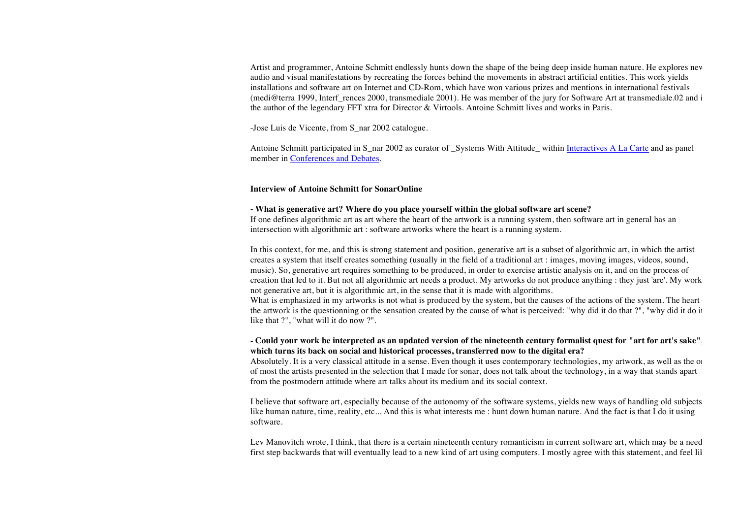Artist and programmer, Antoine Schmitt endlessly hunts down the shape of the being deep inside human nature. He explores new audio and visual manifestations by recreating the forces behind the movements in abstract artificial entities. This work yields installations and software art on Internet and CD-Rom, which have won various prizes and mentions in international festivals (medi@terra 1999, Interf\_rences 2000, transmediale 2001). He was member of the jury for Software Art at transmediale.02 and i the author of the legendary FFT xtra for Director & Virtools. Antoine Schmitt lives and works in Paris.

-Jose Luis de Vicente, from S\_nar 2002 catalogue.

Antoine Schmitt participated in S\_nar 2002 as curator of \_Systems With Attitude \_within Interactives A La Carte and as panel member in Conferences and Debates.

#### **Interview of Antoine Schmitt for SonarOnline**

### **- What is generative art? Where do you place yourself within the global software art scene?**

If one defines algorithmic art as art where the heart of the artwork is a running system, then software art in general has an intersection with algorithmic art : software artworks where the heart is a running system.

In this context, for me, and this is strong statement and position, generative art is a subset of algorithmic art, in which the artist creates a system that itself creates something (usually in the field of a traditional art : images, moving images, videos, sound, music). So, generative art requires something to be produced, in order to exercise artistic analysis on it, and on the process of creation that led to it. But not all algorithmic art needs a product. My artworks do not produce anything : they just 'are'. My work not generative art, but it is algorithmic art, in the sense that it is made with algorithms.

What is emphasized in my artworks is not what is produced by the system, but the causes of the actions of the system. The heart the artwork is the questionning or the sensation created by the cause of what is perceived: "why did it do that ?", "why did it do it like that ?", "what will it do now ?".

# **- Could your work be interpreted as an updated version of the nineteenth century formalist quest for "art for art's sake", which turns its back on social and historical processes, transferred now to the digital era?**

Absolutely. It is a very classical attitude in a sense. Even though it uses contemporary technologies, my artwork, as well as the one of most the artists presented in the selection that I made for sonar, does not talk about the technology, in a way that stands apart from the postmodern attitude where art talks about its medium and its social context.

I believe that software art, especially because of the autonomy of the software systems, yields new ways of handling old subjects, like human nature, time, reality, etc... And this is what interests me : hunt down human nature. And the fact is that I do it using software.

Lev Manovitch wrote, I think, that there is a certain nineteenth century romanticism in current software art, which may be a need first step backwards that will eventually lead to a new kind of art using computers. I mostly agree with this statement, and feel like